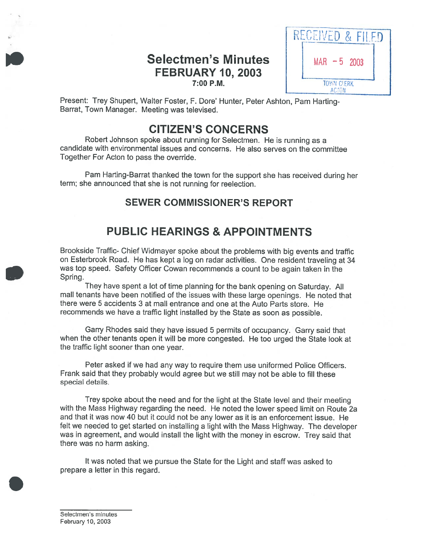# Selectmen's Minutes  $\parallel$  MAR -5 2003 FEBRUARY 10, 2003 **7:00 P.M. IO CONSUMER TO FRAME TO FRAME TO P.M.**



Present: Trey Shupert, Walter Foster, F. Dore' Hunter, Peter Ashton, Pam Harting-Barrat, Town Manager. Meeting was televised.

# CITIZEN'S CONCERNS

Robert Johnson spoke about running for Selectmen. He is running as <sup>a</sup> candidate with environmental issues and concerns. He also serves on the committee Together For Acton to pass the override.

Pam Harting-Barrat thanked the town for the suppor<sup>t</sup> she has received during her term; she announced that she is not running for reelection.

## SEWER COMMISSIONER'S REPORT

# PUBLIC HEARINGS & APPOINTMENTS

Brookside Traffic- Chief Widmayer spoke about the problems with big events and traffic on Esterbrook Road. He has kept <sup>a</sup> log on radar activities. One resident traveling at <sup>34</sup> was top speed. Safety Officer Cowan recommends <sup>a</sup> count to be again taken in the Spring.

They have spen<sup>t</sup> <sup>a</sup> lot of time <sup>p</sup>lanning for the bank opening on Saturday. All mall tenants have been notified of the issues with these large openings. He noted that there were 5 accidents 3 at mall entrance and one at the Auto Parts store. He recommends we have <sup>a</sup> traffic light installed by the State as soon as possible.

Garry Rhodes said they have issued 5 permits of occupancy. Garry said that when the other tenants open it will be more congested. He too urge<sup>d</sup> the State look at the traffic light sooner than one year.

Peter asked if we had any way to require them use uniformed Police Officers. Frank said that they probably would agree but we still may not be able to fill these special details.

Trey spoke about the need and for the light at the State level and their meeting with the Mass Highway regarding the need. He noted the lower spee<sup>d</sup> limit on Route 2a and that it was now 40 but it could not be any lower as it is an enforcement issue. He felt we needed to ge<sup>t</sup> started on installing <sup>a</sup> light with the Mass Highway. The developer was in agreement, and would install the light with the money in escrow. Trey said that there was no harm asking.

It was noted that we pursue the State for the Light and staff was asked to prepare <sup>a</sup> letter in this regard.

Selectmen's minutes February 10, 2003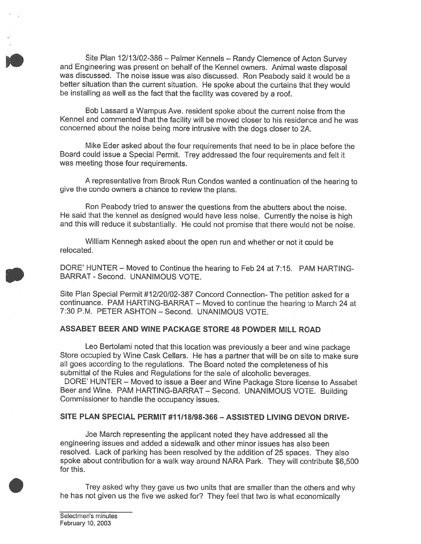Site Plan 12/13/02-386 — Palmer Kennels — Randy Clemence of Acton Survey and Engineering was presen<sup>t</sup> on behalf of the Kennel owners. Animal waste disposal was discussed. The noise issue was also discussed. Ron Peabody said it would be <sup>a</sup> better situation than the current situation. He spoke about the curtains that they would be installing as well as the fact that the facility was covered by <sup>a</sup> roof.

Bob Lassard <sup>a</sup> Wampus Ave. resident spoke about the current noise from the Kennel and commented that the facility will be moved closer to his residence and he was concerned about the noise being more intrusive with the dogs closet to 2A.

Mike Eder asked about the four requirements that need to be in <sup>p</sup>lace before the Board could issue <sup>a</sup> Special Permit. Trey addressed the four requirements and felt it was meeting those four requirements.

<sup>A</sup> representative from Brook Run Condos wanted <sup>a</sup> continuation of the hearing to <sup>g</sup>ive the condo owners <sup>a</sup> chance to review the <sup>p</sup>lans.

Ron Peabody tried to answer the questions from the abutters about the noise. He said that the kennel as designed would have less noise. Currently the noise is high and this will reduce it substantially. He could not promise that there would not be noise.

William Kennegh asked about the open run and whether or not it could be relocated.

DORE' HUNTER — Moved to Continue the hearing to Feb 24 at 7:15. PAM HARTING BARRAT - Second. UNANIMOUS VOTE.

Site Plan Special Permit #12/20/02-387 Concord Connection- The petition asked for <sup>a</sup> continuance. PAM HARTING-BARRAT — Moved to continue the hearing to March 24 at 7:30 P.M. PETER ASHION — Second. UNANIMOUS VOTE.

### ASSABET BEER AND WINE PACKAGE STORE 48 POWDER MILL ROAD

Leo Bertolami noted that this location was previously <sup>a</sup> beer and wine package Store occupied by Wine Cask Cellars. He has <sup>a</sup> partner that will be on site to make sure all goes according to the regulations. The Board noted the completeness of his submittal of the Rules and Regulations for the sale of alcoholic beverages.

DORE' HUNTER — Moved to issue <sup>a</sup> Beer and Wine Package Store license to Assabet Beer and Wine. PAM HARTING-BARRAT — Second. UNANIMOUS VOTE. Building Commissioner to handle the occupancy issues.

#### SITE PLAN SPECIAL PERMIT #11118/98-366—ASSISTED LIVING DEVON DRIVE-

Joe March representing the applicant noted they have addressed all the engineering issues and added <sup>a</sup> sidewalk and other minor issues has also been resolved. Lack of parking has been resolved by the addition of <sup>25</sup> spaces. They also spoke about contribution for <sup>a</sup> walk way around NARA Park. They will contribute \$6,500 for this.

Trey asked why they gave us two units that are smaller than the others and why he has not <sup>g</sup>iven us the five we asked for? They feel that two is what economically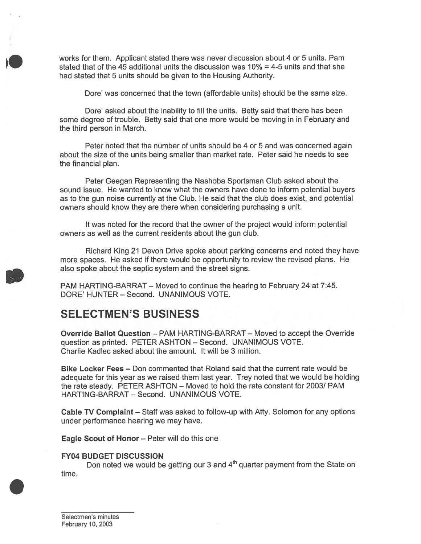works for them. Applicant stated there was never discussion about 4 or 5 units. Pam stated that of the 45 additional units the discussion was 10% <sup>=</sup> 4-5 units and that she had stated that 5 units should be given to the Housing Authority.

Dote' was concerned that the town (affordable units) should be the same size.

Dore' asked about the inability to fill the units. Betty said that there has been some degree of trouble. Betty said that one more would be moving in in February and the third person in March.

Peter noted that the number of units should be 4 or 5 and was concerned again about the size of the units being smaller than market rate. Peter said he needs to see the financial plan.

Peter Geegan Representing the Nashoba Sportsman Club asked about the sound issue. He wanted to know what the owners have done to inform potential buyers as to the gun noise currently at the Club. He said that the club does exist, and potential owners should know they are there when considering purchasing <sup>a</sup> unit.

It was noted for the record that the owner of the project would inform potential owners as well as the current residents about the gun club.

Richard King 21 Devon Drive spoke about parking concerns and noted they have more spaces. He asked if there would be opportunity to review the revised plans. He also spoke about the septic system and the street signs.

PAM HARTING-BARRAT — Moved to continue the hearing to February 24 at 7:45. DORE' HUNTER — Second. UNANIMOUS VOTE.

# SELECTMEN'S BUSINESS

Override Ballot Question — PAM HARTING-BARRAT — Moved to accep<sup>t</sup> the Override question as printed. PETER ASHTON — Second. UNANIMOUS VOTE. Charlie Kadlec asked about the amount. It will be 3 million.

Bike Locker Fees – Don commented that Roland said that the current rate would be adequate for this year as we raised them last year. Trey noted that we would be holding the rate steady. PETER ASHTON — Moved to hold the rate constant for 2003/ PAM HARTING-BARRAT — Second. UNANIMOUS VOTE.

Cable TV Complaint — Staff was asked to follow-up with Atty. Solomon for any options under performance hearing we may have.

Eagle Scout of Honor — Peter will do this one

#### FY04 BUDGET DISCUSSION

Don noted we would be getting our 3 and  $4<sup>th</sup>$  quarter payment from the State on time.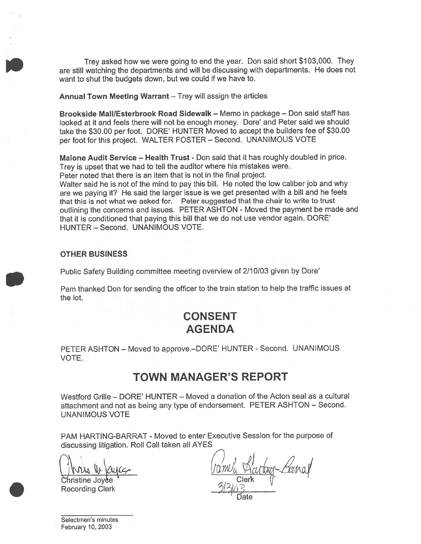Trey asked how we were going to end the year. Don said short \$103,000. They are still watching the departments and will be discussing with departments. He does not want to shut the budgets down, but we could if we have to.

Annual Town Meeting Warrant — Trey will assign the articles

Brookside MaII/Esterbrook Road Sidewalk — Memo in package — Don said staff has looked at it and feels there will not be enough money. Dore' and Peter said we should take the \$30.00 per foot. DORE' HUNTER Moved to accep<sup>t</sup> the builders fee of \$30.00 per foot for this project. WALTER FOSTER — Second. UNANIMOUS VOTE

Malone Audit Service - Health Trust - Don said that it has roughly doubled in price. Trey is upse<sup>t</sup> that we had to tell the auditor where his mistakes were.

Peter noted that there is an item that is not in the final project.

Walter said he is not of the mind to pay this bill. He noted the low caliber job and why are we paying it? He said the larger issue is we ge<sup>t</sup> presented with <sup>a</sup> bill and he feels that this is not what we asked for. Peter suggested that the chair to write to trust outlining the concerns and issues. PETER ASHTON - Moved the paymen<sup>t</sup> be made and that it is conditioned that paying this bill that we do not use vendor again. DORE' HUNTER — Second. UNANIMOUS VOTE.

#### OTHER BUSINESS

Public Safety Building committee meeting overview of 2/10/03 <sup>g</sup>iven by Dore'

Pam thanked Don for sending the officer to the train station to help the traffic issues at the lot.

# CONSENT AGENDA

PETER ASHTON - Moved to approve.-DORE' HUNTER - Second. UNANIMOUS VOTE.

## TOWN MANAGER'S REPORT

Westford Grille — DORE' HUNTER — Moved <sup>a</sup> donation of the Acton seal as <sup>a</sup> cultural attachment and not as being any type of endorsement. PETER ASHTON — Second. UNANIMOUS VOTE

PAM HARTING-BARRAT - Moved to enter Executive Session for the purpose of discussing litigation. Roll Call taken all AYES

I mus in kujez

Ofiristine Joy&e Recording Clerk

ramela Ric

Date

Selectmen's minutes February 10, 2003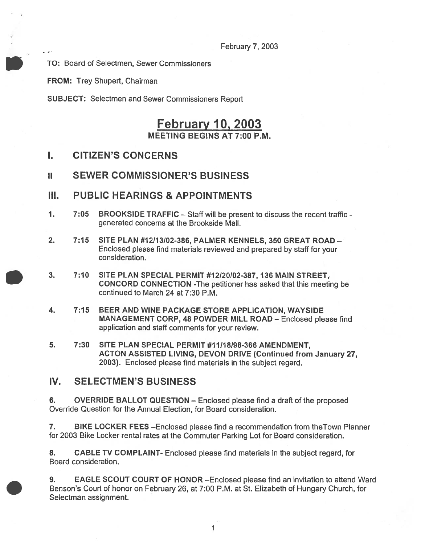February 7, 2003

TO: Board of Selectmen, Sewer Commissioners

FROM: Trey Shupert, Chairman

SUBJECT: Selectmen and Sewer Commissioners Report

## February 10, 2003 MEETING BEGINS AT 7:00 P.M.

- I. CITIZEN'S CONCERNS
- II SEWER COMMISSIONER'S BUSINESS
- III. PUBLIC HEARINGS & APPOINTMENTS
- 1. 7:05 BROOKSIDE TRAFFIC Staff will be presen<sup>t</sup> to discuss the recent traffic generated concerns at the Brookside Mall.
- 2. 7:15 SITE PLAN #12113102-386, PALMER KENNELS, 350 GREAT ROAD Enclosed <sup>p</sup>lease find materials reviewed and prepared by staff for your consideration.
- 3. 7:10 SITE PLAN SPECIAL PERMIT #12/20102-387, 136 MAIN STREET, CONCORD CONNECTION -The petitioner has asked that this meeting be continued to March 24 at 7:30 P.M.
- 4. 7:15 BEER AND WINE PACKAGE STORE APPLICATION, WAYSIDE MANAGEMENT CORP, 48 POWDER MILL ROAD — Enclosed please find application and staff comments for your review.
- 5. 7:30 SITE PLAN SPECIAL PERMIT #11/18/98-366 AMENDMENT, ACTON ASSISTED LIVING, DEVON DRIVE (Continued from January 27, 2003). Enclosed please find materials in the subject regard.

### IV. SELECTMEN'S BUSINESS

6. OVERRIDE BALLOT QUESTION — Enclosed please find <sup>a</sup> draft of the proposed Override Question for the Annual Election, for Board consideration.

7. BIKE LOCKER FEES —Enclosed please find <sup>a</sup> recommendation from theTown Planner for 2003 Bike Locker rental rates at the Commuter Parking Lot for Board consideration.

8. CABLE TV COMPLAINT- Enclosed please find materials in the subject regard, for Board consideration.

9. EAGLE SCOUT COURT OF HONOR —Enclosed please find an invitation to attend Ward Benson's Court of honor on February 26, at 7:00 P.M. at St. Elizabeth of Hungary Church, for Selectman assignment.

1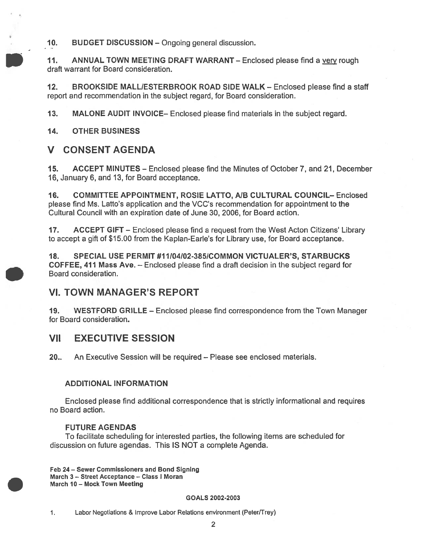10. BUDGET DISCUSSION — Ongoing general discussion.

11. ANNUAL TOWN MEETING DRAFT WARRANT – Enclosed please find a very rough draft warrant for Board consideration.

12. BROOKSIDE MALL/ESTERBROOK ROAD SIDE WALK - Enclosed please find a staff repor<sup>t</sup> and recommendation in the subject regard, for Board consideration.

13. MALONE AUDIT INVOICE— Enclosed please find materials in the subject regard.

14. OTHER BUSINESS

## V CONSENT AGENDA

15. ACCEPT MINUTES — Enclosed please find the Minutes of October 7, and 21, December 16, January 6, and 13, for Board acceptance.

16. COMMITTEE APPOINTMENT, ROSIE LATTO, AIB CULTURAL COUNCIL— Enclosed please find Ms. Latto's application and the VCC's recommendation for appointment to the Cultural Council with an expiration date of June 30, 2006, for Board action.

17. ACCEPT GIFT — Enclosed please find <sup>a</sup> reques<sup>t</sup> from the West Acton Citizens' Library to accep<sup>t</sup> <sup>a</sup> gift of \$15.00 from the Kaplan-Earle's for Library use, for Board acceptance.

18. SPECIAL USE PERMIT #11/04/02-385/COMMON VICTUALER'S, STARBUCKS COFFEE, 411 Mass Ave. — Enclosed please find <sup>a</sup> draft decision in the subject regard for Board consideration.

## VI. TOWN MANAGER'S REPORT

19. WESTFORD GRILLE — Enclosed please find correspondence from the Town Manager for Board consideration.

## VII EXECUTIVE SESSION

20.. An Executive Session will be required — Please see enclosed materials.

### ADDITIONAL INFORMATION

Enclosed please find additional correspondence that is strictly informational and requires no Board action.

### FUTURE AGENDAS

To facilitate scheduling for interested parties, the following items are scheduled for discussion on future agendas. This IS NOT <sup>a</sup> complete Agenda.

Feb 24— Sewer Commissioners and Bond Signing March 3 — Street Acceptance — Class I Moran March 10 — Mock Town Meeting

#### GOALS 2002-2003